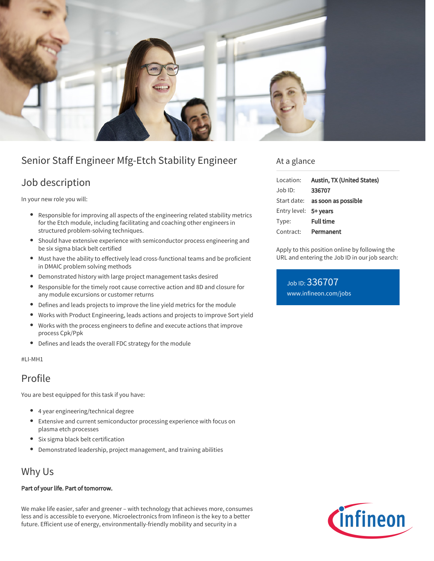

# Senior Staff Engineer Mfg-Etch Stability Engineer

## Job description

In your new role you will:

- Responsible for improving all aspects of the engineering related stability metrics for the Etch module, including facilitating and coaching other engineers in structured problem-solving techniques.
- Should have extensive experience with semiconductor process engineering and be six sigma black belt certified
- Must have the ability to effectively lead cross-functional teams and be proficient in DMAIC problem solving methods
- Demonstrated history with large project management tasks desired
- $\bullet$ Responsible for the timely root cause corrective action and 8D and closure for any module excursions or customer returns
- Defines and leads projects to improve the line yield metrics for the module
- $\bullet$ Works with Product Engineering, leads actions and projects to improve Sort yield
- $\bullet$ Works with the process engineers to define and execute actions that improve process Cpk/Ppk
- Defines and leads the overall FDC strategy for the module

#### #LI-MH1

### Profile

You are best equipped for this task if you have:

- 4 year engineering/technical degree
- Extensive and current semiconductor processing experience with focus on plasma etch processes
- Six sigma black belt certification
- Demonstrated leadership, project management, and training abilities

### Why Us

#### Part of your life. Part of tomorrow.

We make life easier, safer and greener – with technology that achieves more, consumes less and is accessible to everyone. Microelectronics from Infineon is the key to a better future. Efficient use of energy, environmentally-friendly mobility and security in a

### At a glance

| Location:             | Austin, TX (United States)             |
|-----------------------|----------------------------------------|
| Job ID:               | 336707                                 |
|                       | Start date: <b>as soon as possible</b> |
| Entry level: 5+ years |                                        |
| Type:                 | <b>Full time</b>                       |
| Contract:             | Permanent                              |

Apply to this position online by following the URL and entering the Job ID in our job search:

Job ID: 336707 [www.infineon.com/jobs](https://www.infineon.com/jobs)